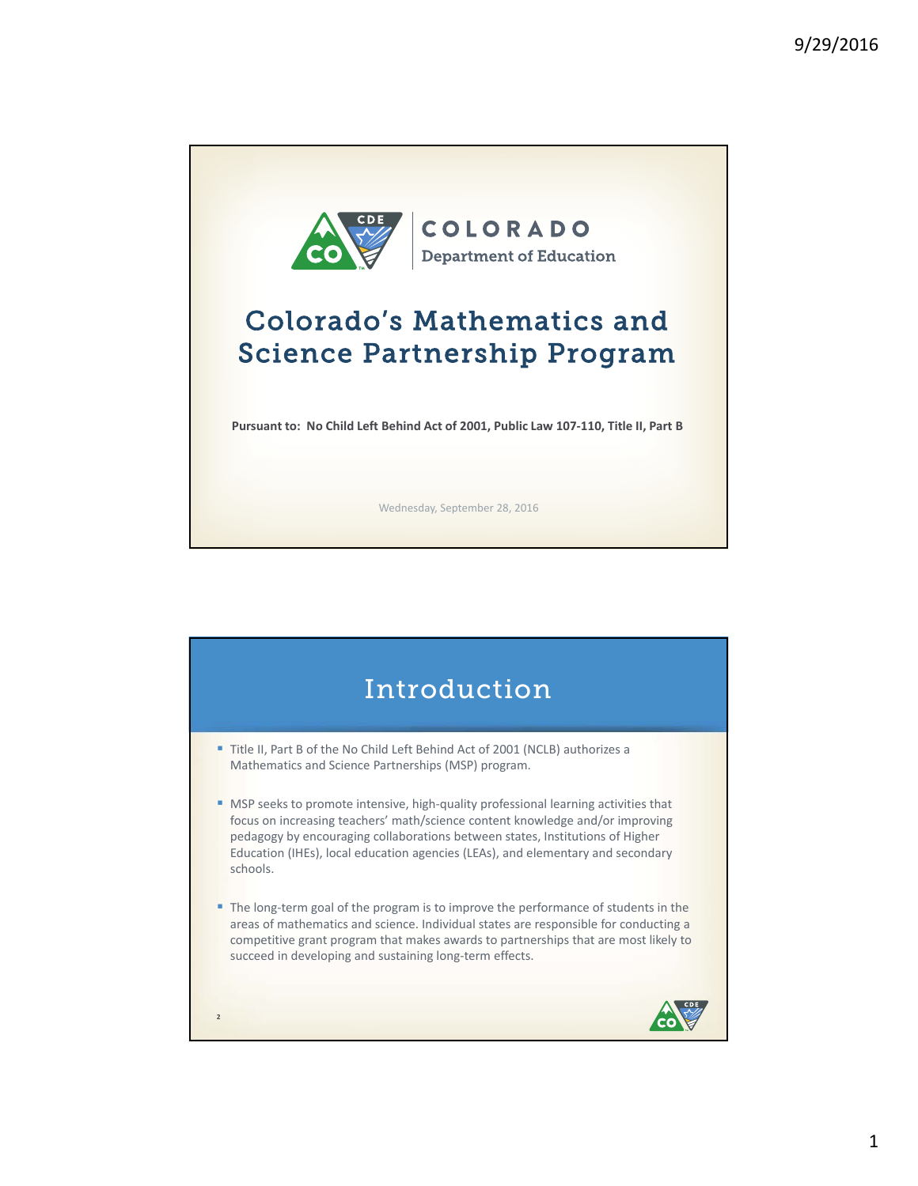

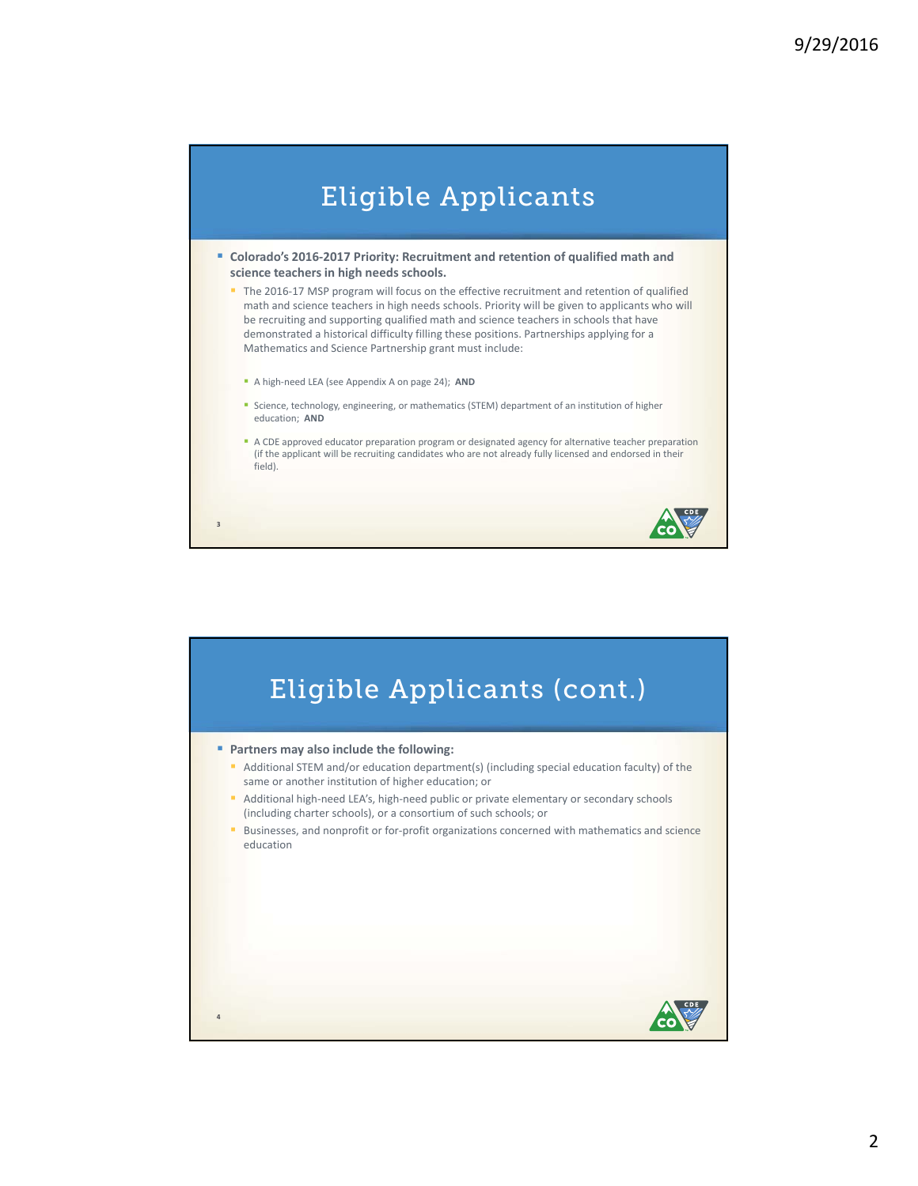

 **Colorado's 2016‐2017 Priority: Recruitment and retention of qualified math and science teachers in high needs schools.**

The 2016-17 MSP program will focus on the effective recruitment and retention of qualified math and science teachers in high needs schools. Priority will be given to applicants who will be recruiting and supporting qualified math and science teachers in schools that have demonstrated a historical difficulty filling these positions. Partnerships applying for a Mathematics and Science Partnership grant must include:

■ A high-need LEA (see Appendix A on page 24); AND

**3**

- **Science, technology, engineering, or mathematics (STEM) department of an institution of higher** education; **AND**
- A CDE approved educator preparation program or designated agency for alternative teacher preparation (if the applicant will be recruiting candidates who are not already fully licensed and endorsed in their field).

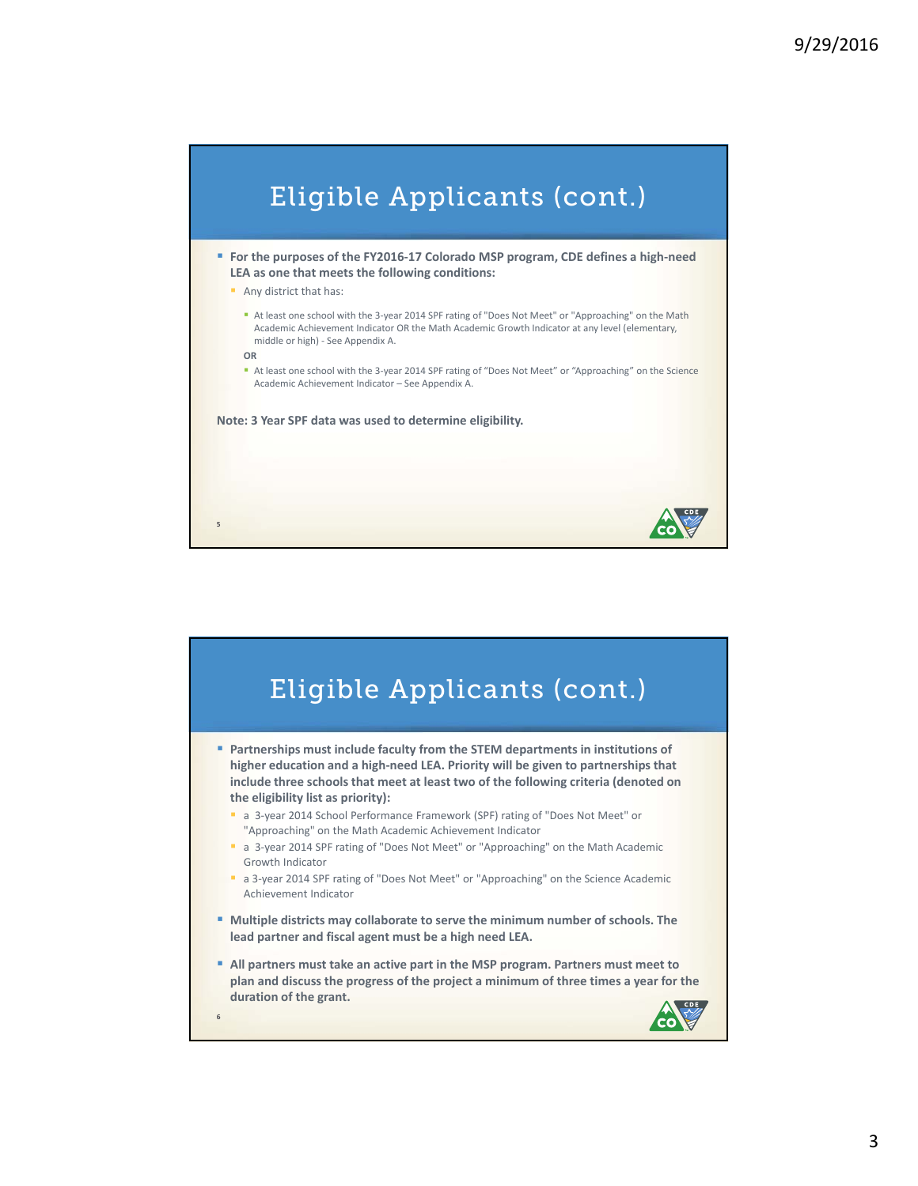

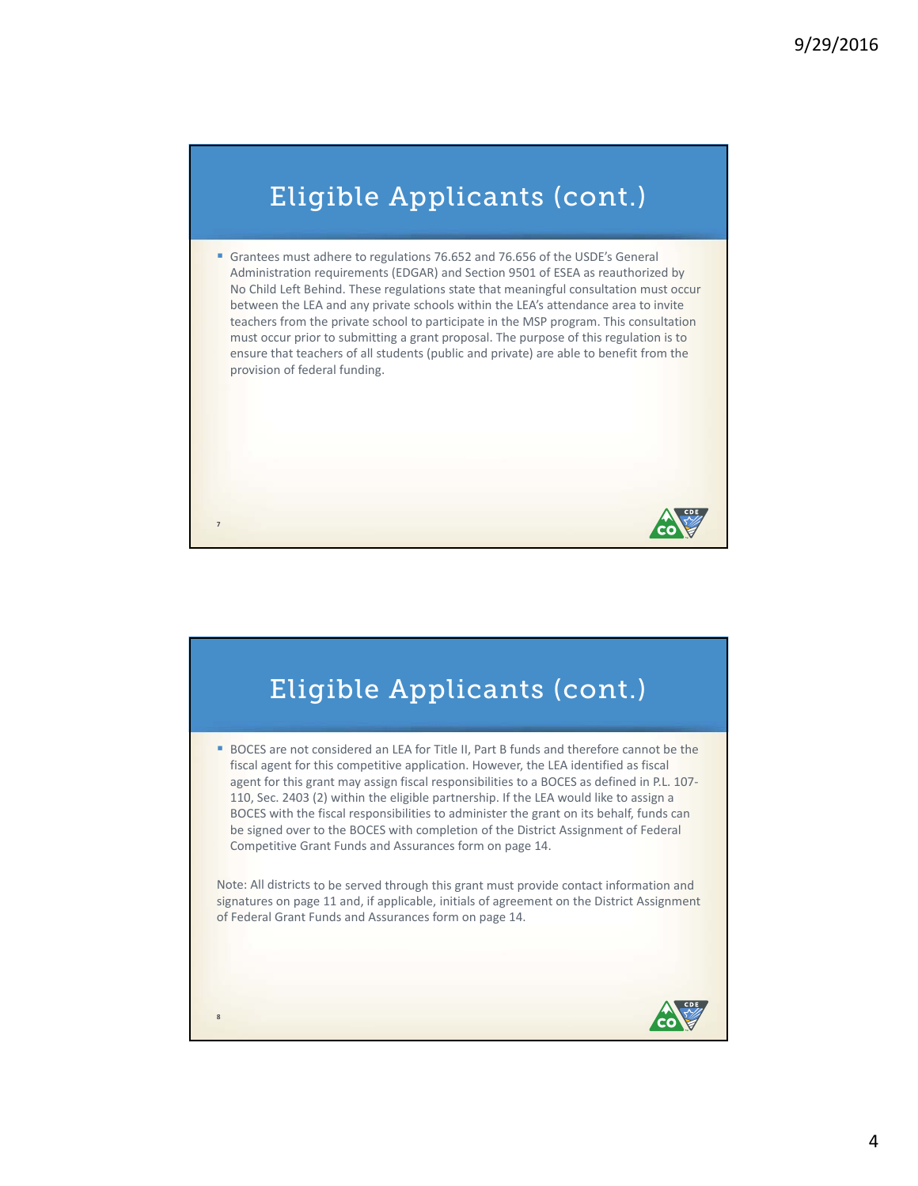## Eligible Applicants (cont.)

Grantees must adhere to regulations 76.652 and 76.656 of the USDE's General Administration requirements (EDGAR) and Section 9501 of ESEA as reauthorized by No Child Left Behind. These regulations state that meaningful consultation must occur between the LEA and any private schools within the LEA's attendance area to invite teachers from the private school to participate in the MSP program. This consultation must occur prior to submitting a grant proposal. The purpose of this regulation is to ensure that teachers of all students (public and private) are able to benefit from the provision of federal funding.

## Eligible Applicants (cont.)

**7**

**8**

**BOCES** are not considered an LEA for Title II, Part B funds and therefore cannot be the fiscal agent for this competitive application. However, the LEA identified as fiscal agent for this grant may assign fiscal responsibilities to a BOCES as defined in P.L. 107-110, Sec. 2403 (2) within the eligible partnership. If the LEA would like to assign a BOCES with the fiscal responsibilities to administer the grant on its behalf, funds can be signed over to the BOCES with completion of the District Assignment of Federal Competitive Grant Funds and Assurances form on page 14.

Note: All districts to be served through this grant must provide contact information and signatures on page 11 and, if applicable, initials of agreement on the District Assignment of Federal Grant Funds and Assurances form on page 14.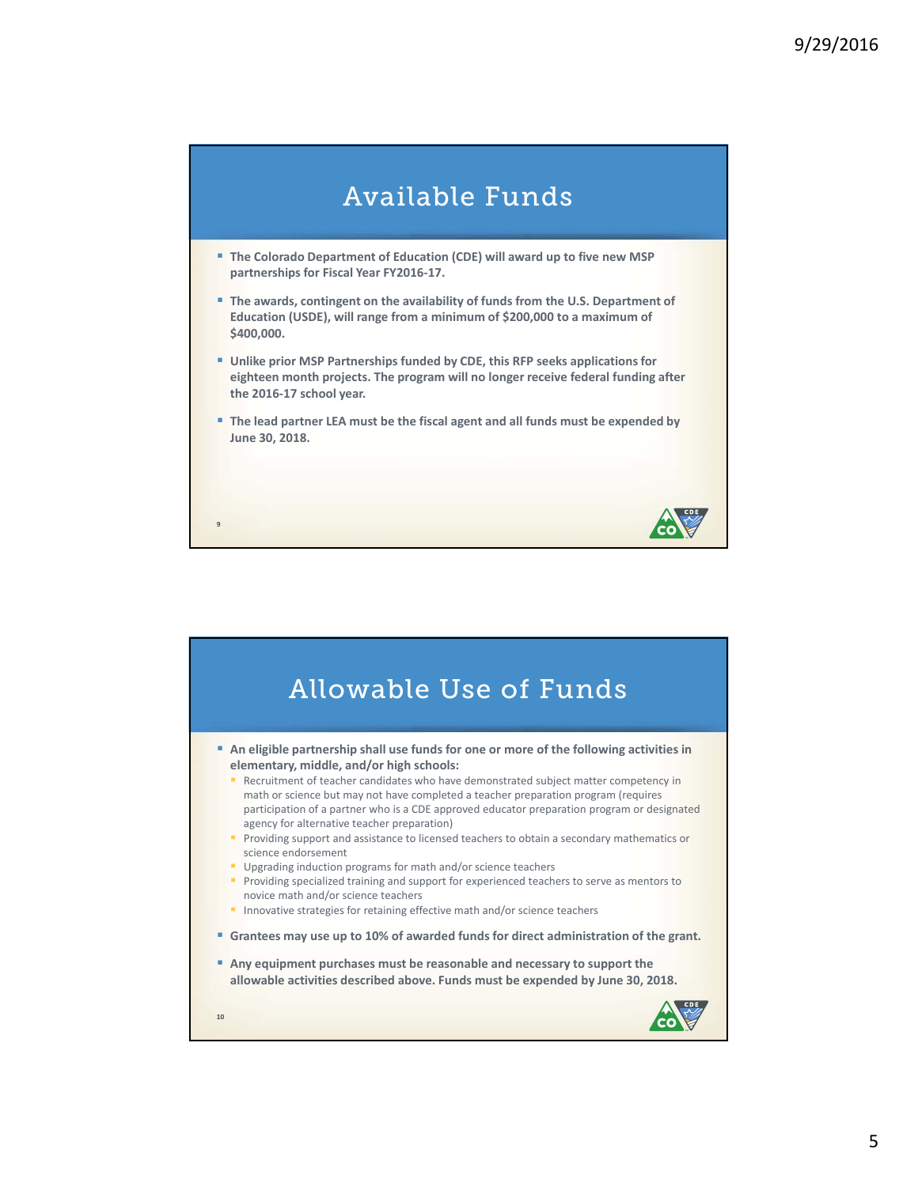

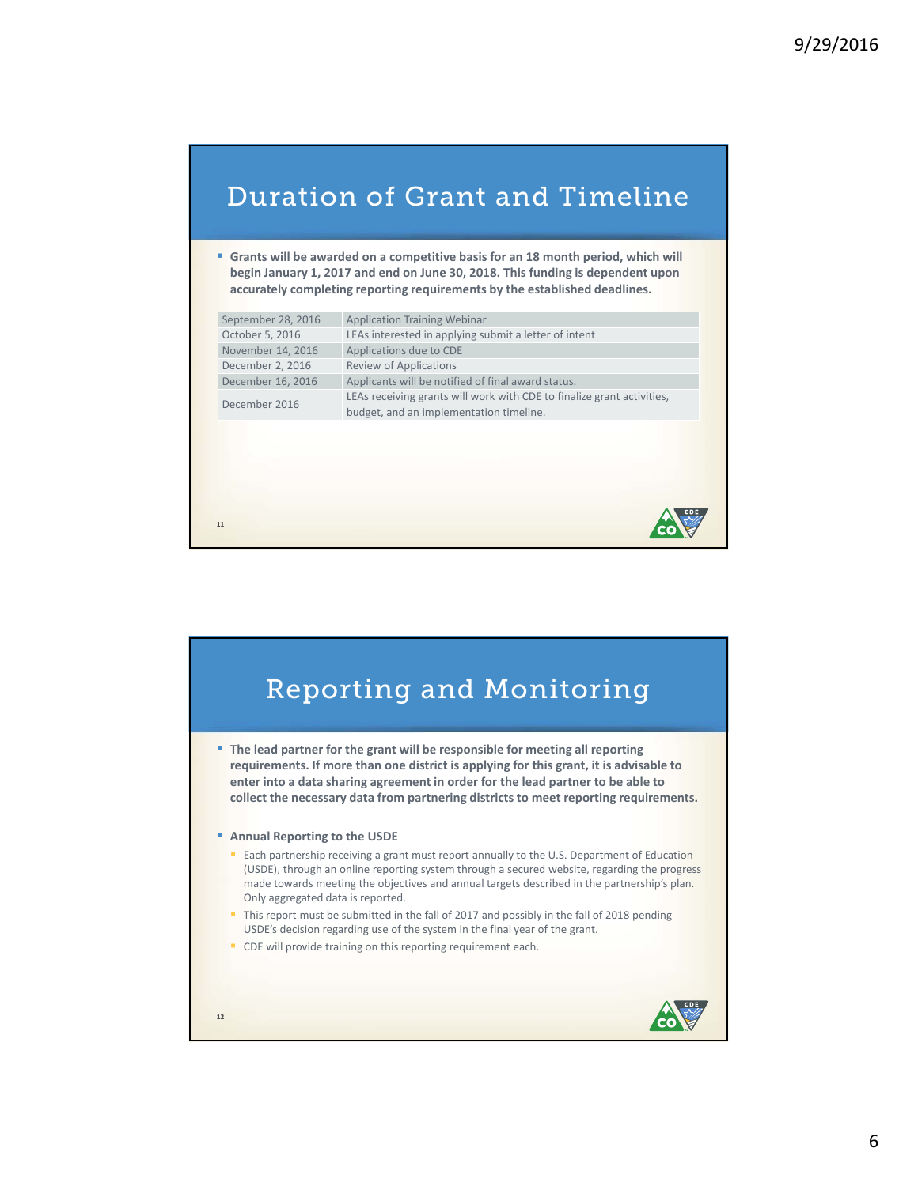### Duration of Grant and Timeline

 **Grants will be awarded on a competitive basis for an 18 month period, which will begin January 1, 2017 and end on June 30, 2018. This funding is dependent upon accurately completing reporting requirements by the established deadlines.**

| September 28, 2016 | <b>Application Training Webinar</b>                                                                               |
|--------------------|-------------------------------------------------------------------------------------------------------------------|
| October 5, 2016    | LEAs interested in applying submit a letter of intent                                                             |
| November 14, 2016  | Applications due to CDE                                                                                           |
| December 2, 2016   | <b>Review of Applications</b>                                                                                     |
| December 16, 2016  | Applicants will be notified of final award status.                                                                |
| December 2016      | LEAs receiving grants will work with CDE to finalize grant activities,<br>budget, and an implementation timeline. |
|                    |                                                                                                                   |
|                    |                                                                                                                   |
|                    |                                                                                                                   |
|                    |                                                                                                                   |
|                    |                                                                                                                   |
| 11                 |                                                                                                                   |

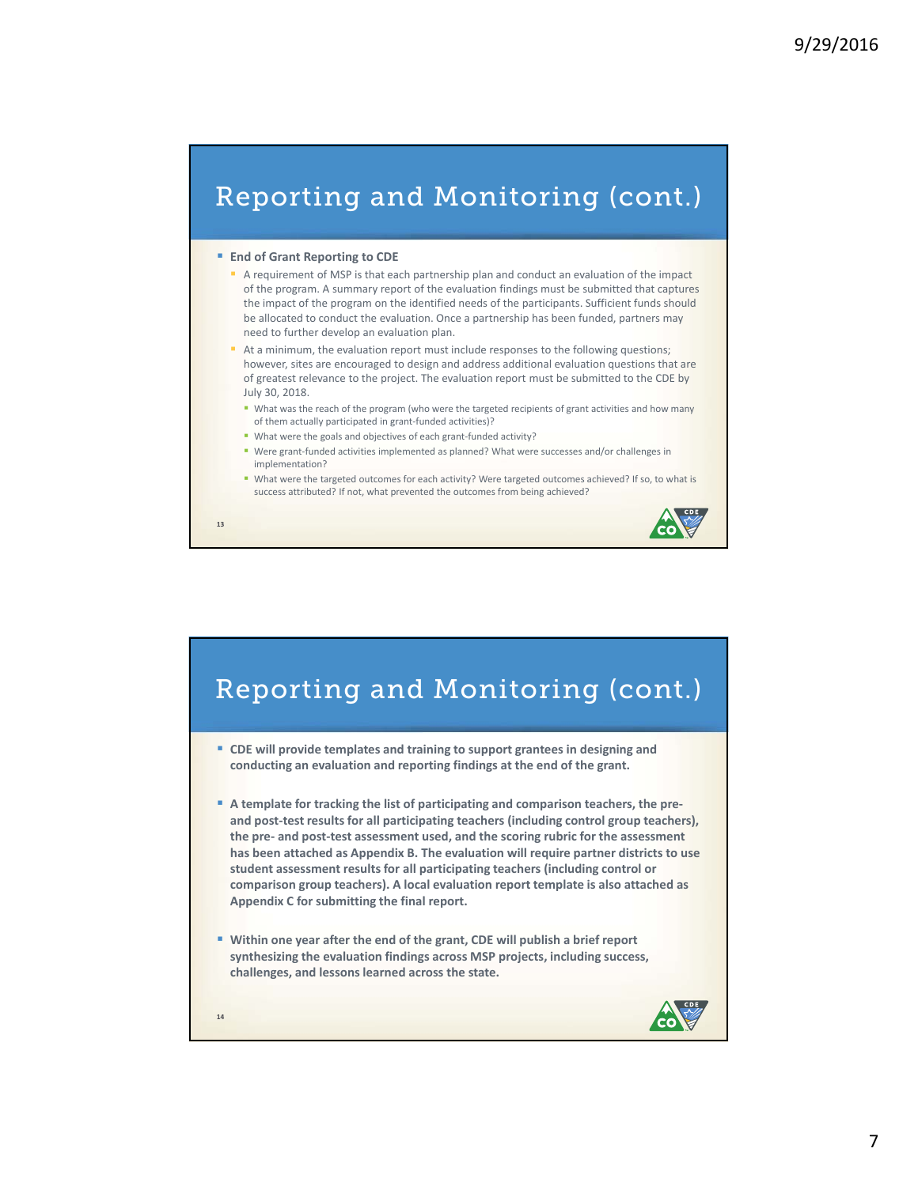### Reporting and Monitoring (cont.)

#### **End of Grant Reporting to CDE**

- A requirement of MSP is that each partnership plan and conduct an evaluation of the impact of the program. A summary report of the evaluation findings must be submitted that captures the impact of the program on the identified needs of the participants. Sufficient funds should be allocated to conduct the evaluation. Once a partnership has been funded, partners may need to further develop an evaluation plan.
- At a minimum, the evaluation report must include responses to the following questions; however, sites are encouraged to design and address additional evaluation questions that are of greatest relevance to the project. The evaluation report must be submitted to the CDE by July 30, 2018.
	- " What was the reach of the program (who were the targeted recipients of grant activities and how many of them actually participated in grant‐funded activities)?
	- What were the goals and objectives of each grant-funded activity?
	- Were grant-funded activities implemented as planned? What were successes and/or challenges in implementation?
- What were the targeted outcomes for each activity? Were targeted outcomes achieved? If so, to what is success attributed? If not, what prevented the outcomes from being achieved?



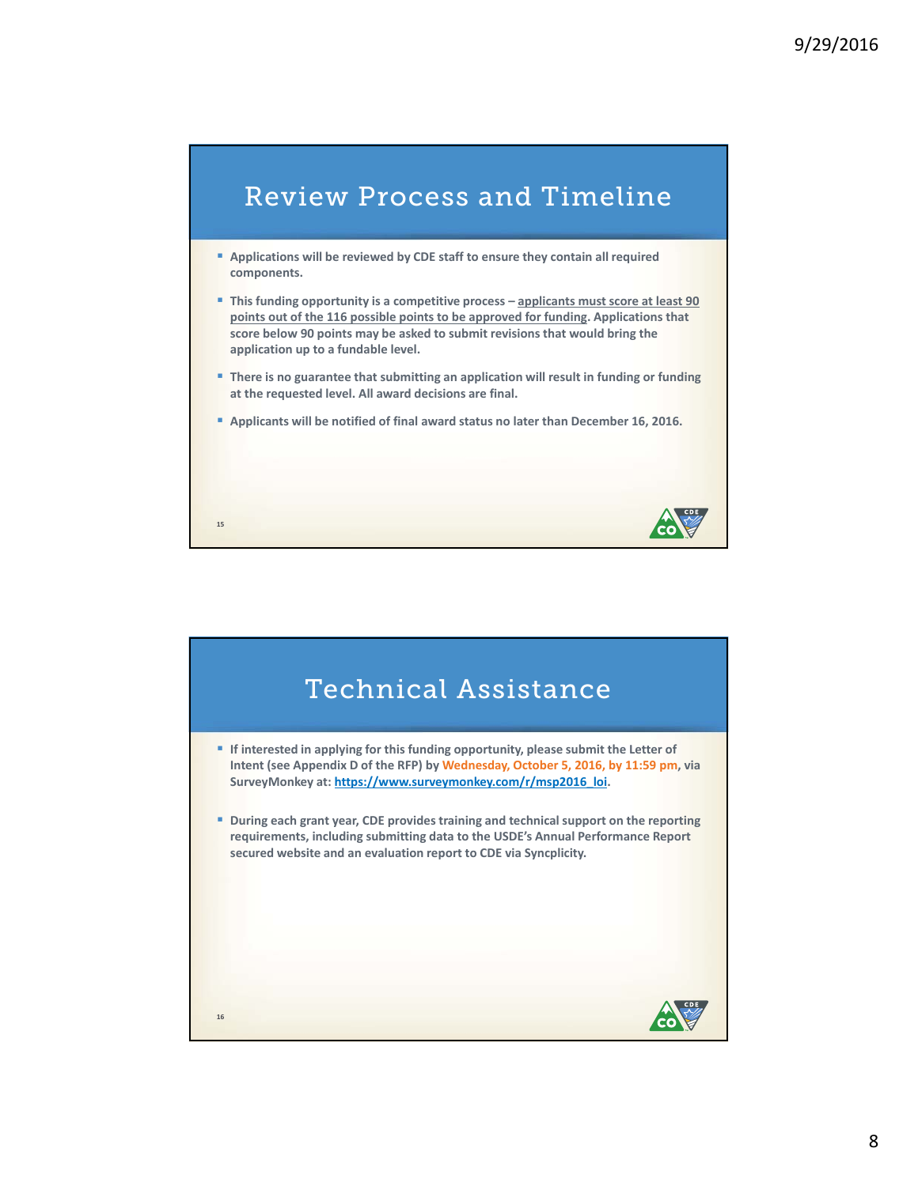

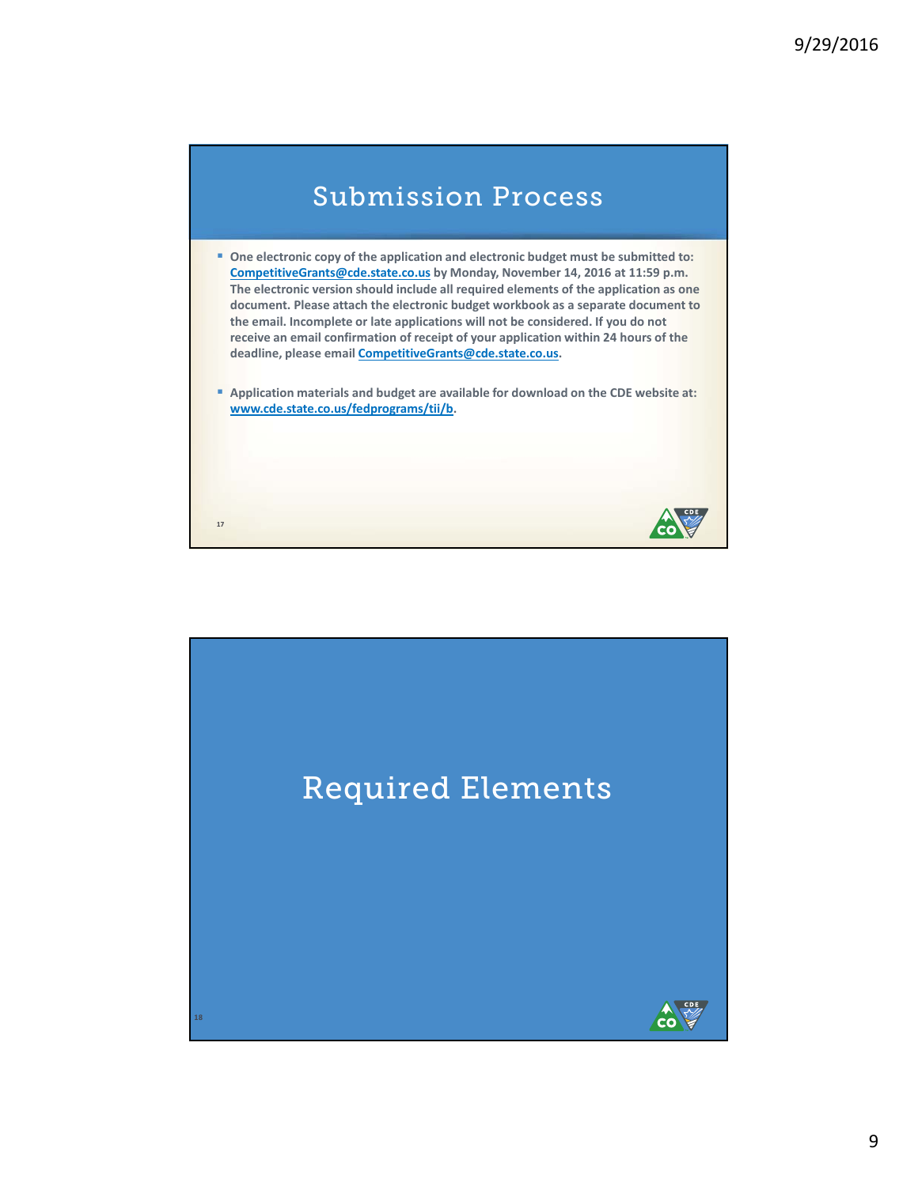

- **One electronic copy of the application and electronic budget must be submitted to: CompetitiveGrants@cde.state.co.us by Monday, November 14, 2016 at 11:59 p.m. The electronic version should include all required elements of the application as one document. Please attach the electronic budget workbook as a separate document to the email. Incomplete or late applications will not be considered. If you do not receive an email confirmation of receipt of your application within 24 hours of the deadline, please email CompetitiveGrants@cde.state.co.us.**
- **Application materials and budget are available for download on the CDE website at: www.cde.state.co.us/fedprograms/tii/b.**

CO

**17**

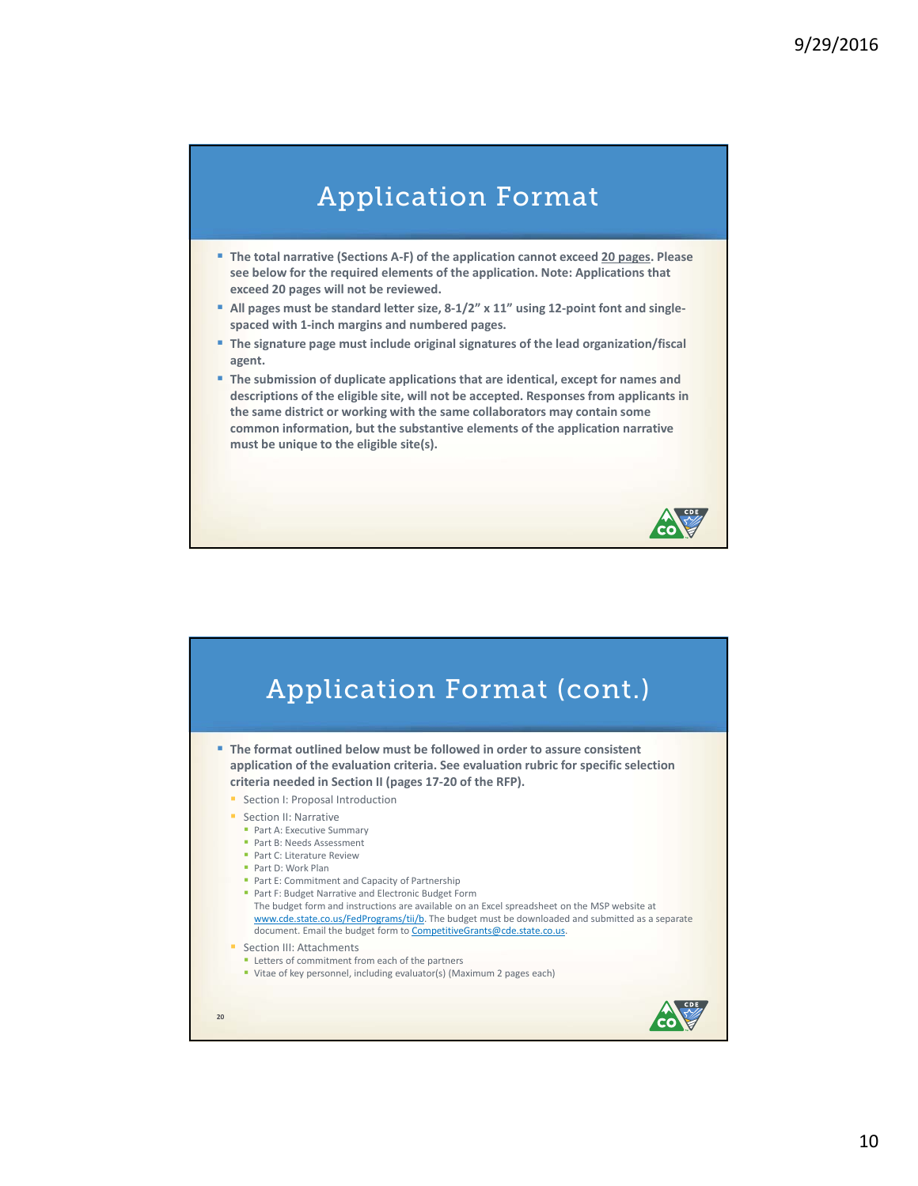## Application Format

- **The total narrative (Sections A‐F) of the application cannot exceed 20 pages. Please see below for the required elements of the application. Note: Applications that exceed 20 pages will not be reviewed.**
- **All pages must be standard letter size, 8‐1/2" x 11" using 12‐point font and single‐ spaced with 1‐inch margins and numbered pages.**
- **The signature page must include original signatures of the lead organization/fiscal agent.**
- **The submission of duplicate applications that are identical, except for names and descriptions of the eligible site, will not be accepted. Responses from applicants in the same district or working with the same collaborators may contain some common information, but the substantive elements of the application narrative must be unique to the eligible site(s).**

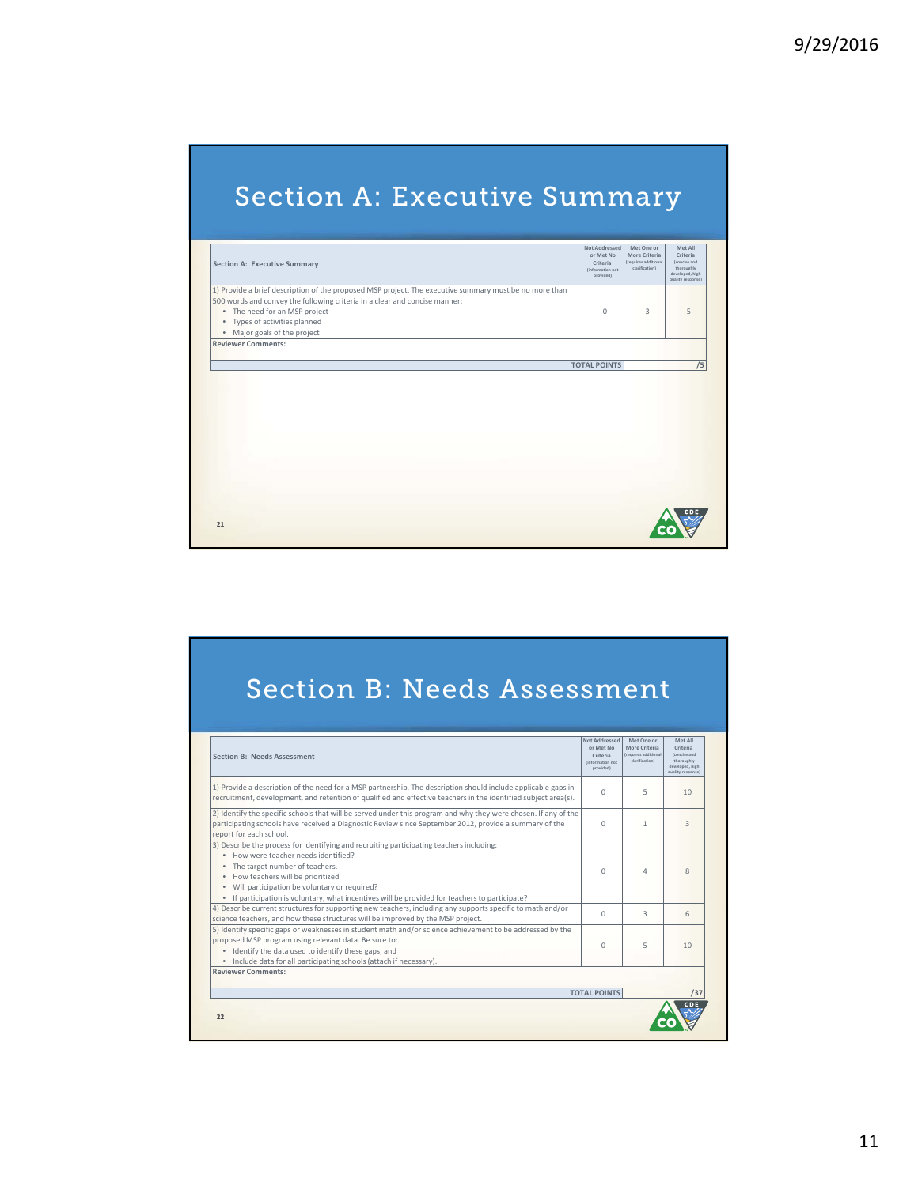# Section A: Executive Summary

| <b>Section A: Executive Summary</b>                                                                                                                                                                                                                                                                          | Not Addressed<br>or Met No<br>Criteria<br>(information not<br>provided) | Met One or<br>More Criteria<br>(requires additional<br>clarification) | Met All<br>Criteria<br>(concise and<br>thoroughly<br>developed, high<br>quality response) |
|--------------------------------------------------------------------------------------------------------------------------------------------------------------------------------------------------------------------------------------------------------------------------------------------------------------|-------------------------------------------------------------------------|-----------------------------------------------------------------------|-------------------------------------------------------------------------------------------|
| 1) Provide a brief description of the proposed MSP project. The executive summary must be no more than<br>500 words and convey the following criteria in a clear and concise manner:<br>• The need for an MSP project<br>Types of activities planned<br>$\bullet$<br>Major goals of the project<br>$\bullet$ | $\Omega$                                                                | 3                                                                     | 5                                                                                         |
| <b>Reviewer Comments:</b>                                                                                                                                                                                                                                                                                    | <b>TOTAL POINTS</b>                                                     |                                                                       | /5                                                                                        |
|                                                                                                                                                                                                                                                                                                              |                                                                         |                                                                       |                                                                                           |
|                                                                                                                                                                                                                                                                                                              |                                                                         |                                                                       |                                                                                           |
|                                                                                                                                                                                                                                                                                                              |                                                                         |                                                                       |                                                                                           |

# Section B: Needs Assessment

| <b>Section B: Needs Assessment</b>                                                                                                                                                                                                                                                                                                                                        | Not Addressed<br>or Met No<br>Criteria<br>(information not<br>provided) | Met One or<br>More Criteria<br>(requires additional<br>clarification) | Met All<br>Criteria<br>(concise and<br>thoroughly<br>developed, high<br>quality response) |
|---------------------------------------------------------------------------------------------------------------------------------------------------------------------------------------------------------------------------------------------------------------------------------------------------------------------------------------------------------------------------|-------------------------------------------------------------------------|-----------------------------------------------------------------------|-------------------------------------------------------------------------------------------|
| 1) Provide a description of the need for a MSP partnership. The description should include applicable gaps in<br>recruitment, development, and retention of qualified and effective teachers in the identified subject area(s).                                                                                                                                           | $\cap$                                                                  | 5                                                                     | 10                                                                                        |
| 2) Identify the specific schools that will be served under this program and why they were chosen. If any of the<br>participating schools have received a Diagnostic Review since September 2012, provide a summary of the<br>report for each school.                                                                                                                      | $\Omega$                                                                | 1                                                                     | $\overline{3}$                                                                            |
| 3) Describe the process for identifying and recruiting participating teachers including:<br>. How were teacher needs identified?<br>• The target number of teachers.<br>. How teachers will be prioritized<br>. Will participation be voluntary or required?<br>If participation is voluntary, what incentives will be provided for teachers to participate?<br>$\bullet$ | $\Omega$                                                                | 4                                                                     | 8                                                                                         |
| 4) Describe current structures for supporting new teachers, including any supports specific to math and/or<br>science teachers, and how these structures will be improved by the MSP project.                                                                                                                                                                             | $\Omega$                                                                | $\overline{3}$                                                        | 6                                                                                         |
| 5) Identify specific gaps or weaknesses in student math and/or science achievement to be addressed by the<br>proposed MSP program using relevant data. Be sure to:<br>. Identify the data used to identify these gaps; and<br>. Include data for all participating schools (attach if necessary).                                                                         | $\Omega$                                                                | 5                                                                     | 10                                                                                        |
| <b>Reviewer Comments:</b>                                                                                                                                                                                                                                                                                                                                                 |                                                                         |                                                                       |                                                                                           |
|                                                                                                                                                                                                                                                                                                                                                                           | <b>TOTAL POINTS</b>                                                     |                                                                       | /37                                                                                       |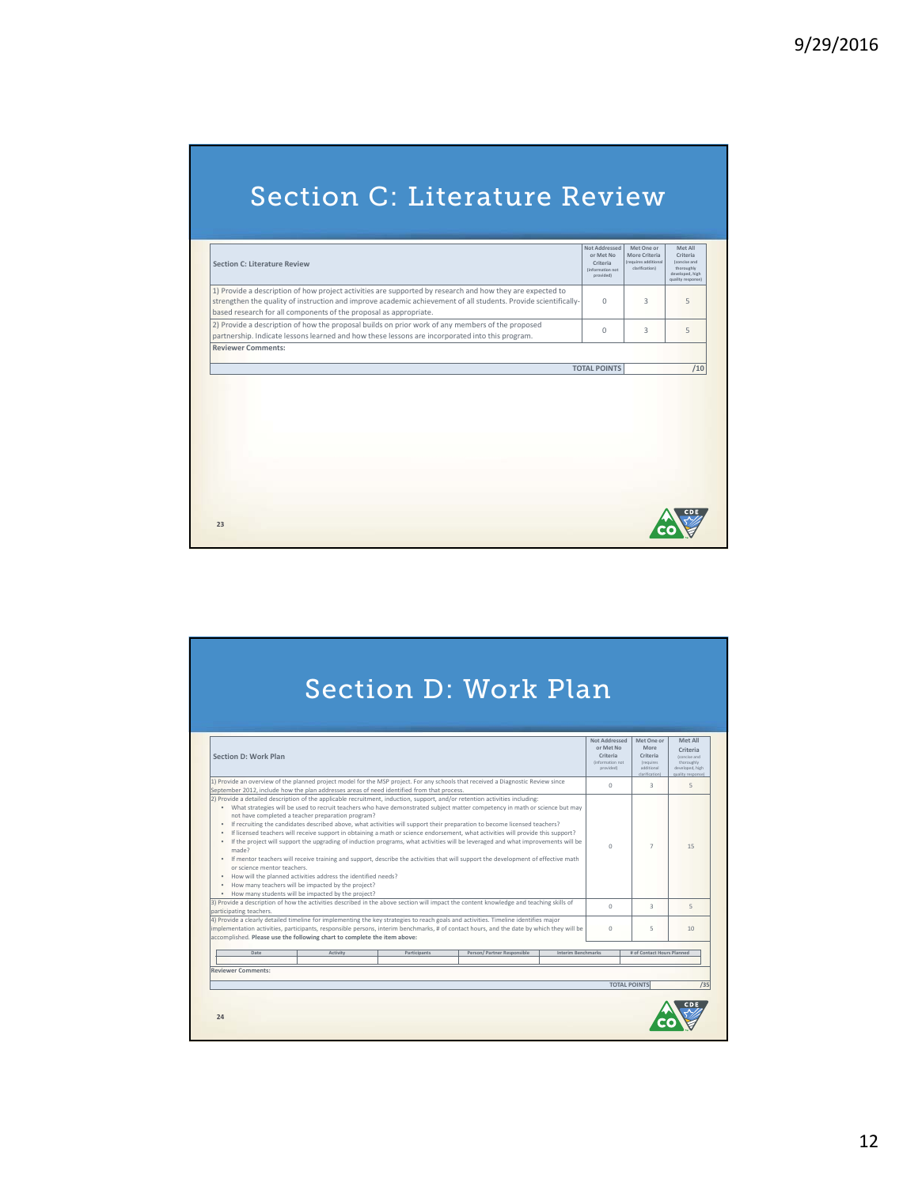# Section C: Literature Review

| Section C: Literature Review                                                                                                                                                                                                                                                                      | Not Addressed<br>or Met No<br>Criteria<br>(information not<br>provided) | Met One or<br>More Criteria<br>(requires additional<br>clarification) | Met All<br>Criteria<br>(concise and<br>thoroughly<br>developed, high<br>quality response) |
|---------------------------------------------------------------------------------------------------------------------------------------------------------------------------------------------------------------------------------------------------------------------------------------------------|-------------------------------------------------------------------------|-----------------------------------------------------------------------|-------------------------------------------------------------------------------------------|
| 1) Provide a description of how project activities are supported by research and how they are expected to<br>strengthen the quality of instruction and improve academic achievement of all students. Provide scientifically-<br>based research for all components of the proposal as appropriate. | $\Omega$                                                                | 3                                                                     | 5                                                                                         |
| 2) Provide a description of how the proposal builds on prior work of any members of the proposed<br>partnership. Indicate lessons learned and how these lessons are incorporated into this program.                                                                                               | $\Omega$                                                                | 3                                                                     | 5                                                                                         |
| <b>Reviewer Comments:</b>                                                                                                                                                                                                                                                                         |                                                                         |                                                                       |                                                                                           |
|                                                                                                                                                                                                                                                                                                   | <b>TOTAL POINTS</b>                                                     |                                                                       |                                                                                           |
|                                                                                                                                                                                                                                                                                                   |                                                                         |                                                                       | /10                                                                                       |
|                                                                                                                                                                                                                                                                                                   |                                                                         |                                                                       |                                                                                           |

|                                                                                                                                                                                                                                                                                                                                                             |                                                                                                                                                                                                                                    |              | <b>Section D: Work Plan</b>                                                                                                                                                                                                                                                                                                                                                                                                                                                                                                                                                                                                                                                                                                                                                                                           |                    |                                                                          |                                                                              |                                                                                           |
|-------------------------------------------------------------------------------------------------------------------------------------------------------------------------------------------------------------------------------------------------------------------------------------------------------------------------------------------------------------|------------------------------------------------------------------------------------------------------------------------------------------------------------------------------------------------------------------------------------|--------------|-----------------------------------------------------------------------------------------------------------------------------------------------------------------------------------------------------------------------------------------------------------------------------------------------------------------------------------------------------------------------------------------------------------------------------------------------------------------------------------------------------------------------------------------------------------------------------------------------------------------------------------------------------------------------------------------------------------------------------------------------------------------------------------------------------------------------|--------------------|--------------------------------------------------------------------------|------------------------------------------------------------------------------|-------------------------------------------------------------------------------------------|
| Section D: Work Plan                                                                                                                                                                                                                                                                                                                                        |                                                                                                                                                                                                                                    |              |                                                                                                                                                                                                                                                                                                                                                                                                                                                                                                                                                                                                                                                                                                                                                                                                                       |                    | hezeabbat to N<br>or Met No<br>Criteria<br>(information not<br>provided) | Met One or<br>More<br>Criteria<br>(requires)<br>additional<br>clarification) | Met All<br>Criteria<br>(concise and<br>thoroughly<br>developed, high<br>quality response) |
| September 2012, include how the plan addresses areas of need identified from that process.                                                                                                                                                                                                                                                                  |                                                                                                                                                                                                                                    |              | 1) Provide an overview of the planned project model for the MSP project. For any schools that received a Diagnostic Review since                                                                                                                                                                                                                                                                                                                                                                                                                                                                                                                                                                                                                                                                                      |                    | $\Omega$                                                                 | $\mathcal{R}$                                                                | $\overline{5}$                                                                            |
| $\bullet$<br>$\bullet$<br>made?<br>or science mentor teachers.<br>$\bullet$                                                                                                                                                                                                                                                                                 | not have completed a teacher preparation program?<br>. How will the planned activities address the identified needs?<br>How many teachers will be impacted by the project?<br>. How many students will be impacted by the project? |              | . What strategies will be used to recruit teachers who have demonstrated subject matter competency in math or science but may<br>• If recruiting the candidates described above, what activities will support their preparation to become licensed teachers?<br>If licensed teachers will receive support in obtaining a math or science endorsement, what activities will provide this support?<br>If the project will support the upgrading of induction programs, what activities will be leveraged and what improvements will be<br>. If mentor teachers will receive training and support, describe the activities that will support the development of effective math<br>3) Provide a description of how the activities described in the above section will impact the content knowledge and teaching skills of |                    | $\Omega$                                                                 | $\overline{7}$                                                               | 15                                                                                        |
| participating teachers.                                                                                                                                                                                                                                                                                                                                     |                                                                                                                                                                                                                                    |              |                                                                                                                                                                                                                                                                                                                                                                                                                                                                                                                                                                                                                                                                                                                                                                                                                       |                    | $\Omega$                                                                 | $\mathcal{R}$                                                                | $\overline{5}$                                                                            |
| 4) Provide a clearly detailed timeline for implementing the key strategies to reach goals and activities. Timeline identifies major<br>implementation activities, participants, responsible persons, interim benchmarks, # of contact hours, and the date by which they will be<br>accomplished. Please use the following chart to complete the item above: |                                                                                                                                                                                                                                    |              |                                                                                                                                                                                                                                                                                                                                                                                                                                                                                                                                                                                                                                                                                                                                                                                                                       |                    | $\cap$                                                                   | 5                                                                            | 10                                                                                        |
| Date                                                                                                                                                                                                                                                                                                                                                        | Activity                                                                                                                                                                                                                           | Participants | Person/ Partner Responsible                                                                                                                                                                                                                                                                                                                                                                                                                                                                                                                                                                                                                                                                                                                                                                                           | Interim Benchmarks |                                                                          | # of Contact Hours Planned                                                   |                                                                                           |
| <b>Reviewer Comments:</b>                                                                                                                                                                                                                                                                                                                                   |                                                                                                                                                                                                                                    |              |                                                                                                                                                                                                                                                                                                                                                                                                                                                                                                                                                                                                                                                                                                                                                                                                                       |                    |                                                                          | <b>TOTAL POINTS</b>                                                          |                                                                                           |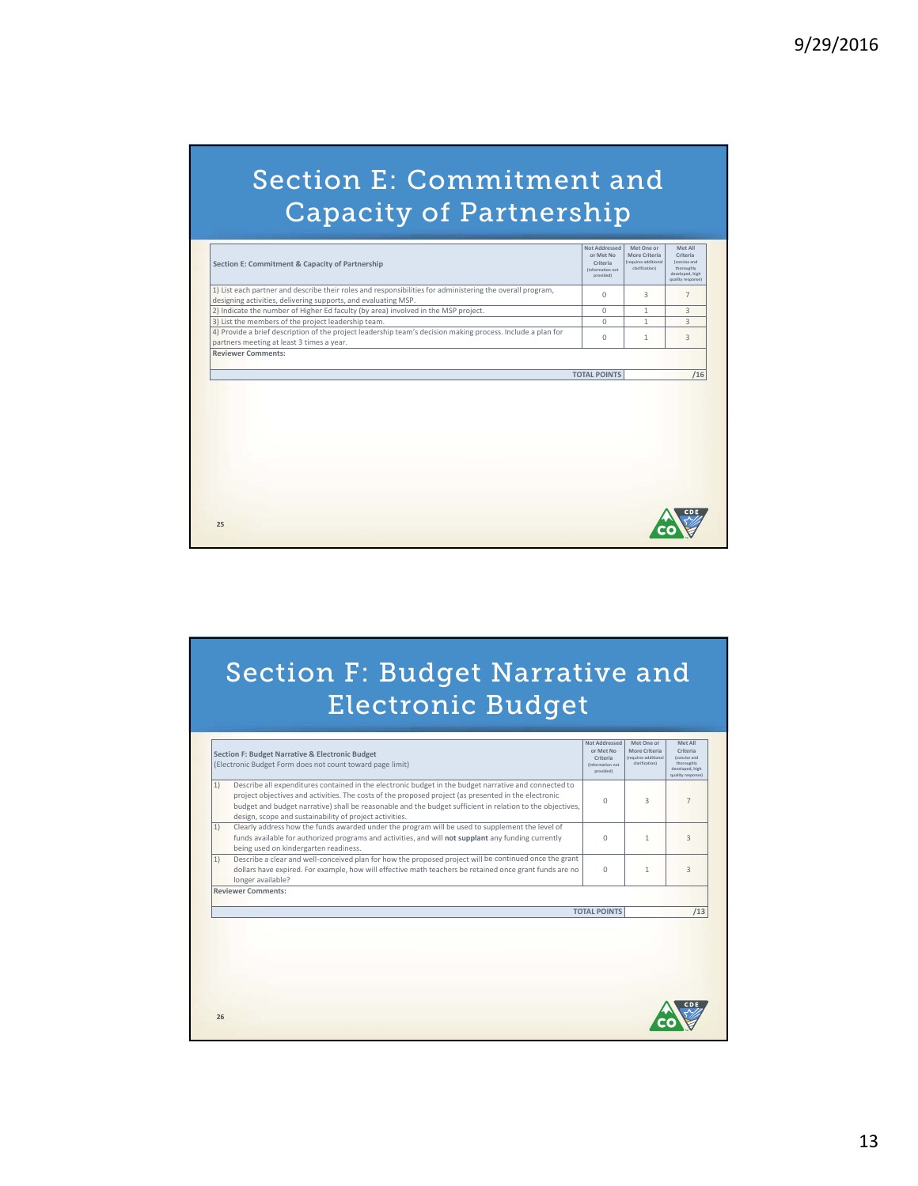# Section E: Commitment and Capacity of Partnership

| 1) List each partner and describe their roles and responsibilities for administering the overall program,<br>designing activities, delivering supports, and evaluating MSP. |          |   | quality response)                |
|-----------------------------------------------------------------------------------------------------------------------------------------------------------------------------|----------|---|----------------------------------|
|                                                                                                                                                                             | $\Omega$ | 3 | $\overline{7}$                   |
|                                                                                                                                                                             |          |   |                                  |
| 2) Indicate the number of Higher Ed faculty (by area) involved in the MSP project.                                                                                          | $\Omega$ | 1 | $\overline{3}$<br>$\overline{3}$ |
| 3) List the members of the project leadership team.                                                                                                                         | $\Omega$ | 1 |                                  |
| 4) Provide a brief description of the project leadership team's decision making process. Include a plan for                                                                 | $\Omega$ | 1 | $\overline{3}$                   |
| partners meeting at least 3 times a year.<br><b>Reviewer Comments:</b>                                                                                                      |          |   |                                  |
|                                                                                                                                                                             |          |   |                                  |
|                                                                                                                                                                             |          |   |                                  |
|                                                                                                                                                                             |          |   |                                  |
|                                                                                                                                                                             |          |   |                                  |
|                                                                                                                                                                             |          |   |                                  |

# Section F: Budget Narrative and Electronic Budget

|    | Section F: Budget Narrative & Electronic Budget<br>(Electronic Budget Form does not count toward page limit)                                                                                                                                                                                                                                                                          | <b>Not Addressed</b><br>or Met No.<br>Criteria<br>(information not<br>provided) | Met One or<br>More Criteria<br>(requires additional<br>clarification) | Met All<br>Criteria<br>(concise and<br>thoroughly<br>developed, high<br>quality response) |
|----|---------------------------------------------------------------------------------------------------------------------------------------------------------------------------------------------------------------------------------------------------------------------------------------------------------------------------------------------------------------------------------------|---------------------------------------------------------------------------------|-----------------------------------------------------------------------|-------------------------------------------------------------------------------------------|
| 1) | Describe all expenditures contained in the electronic budget in the budget narrative and connected to<br>project objectives and activities. The costs of the proposed project (as presented in the electronic<br>budget and budget narrative) shall be reasonable and the budget sufficient in relation to the objectives,<br>design, scope and sustainability of project activities. | $\Omega$                                                                        | 3                                                                     | 7                                                                                         |
| 1) | Clearly address how the funds awarded under the program will be used to supplement the level of<br>funds available for authorized programs and activities, and will not supplant any funding currently<br>being used on kindergarten readiness.                                                                                                                                       | $\Omega$                                                                        | 1                                                                     | $\overline{3}$                                                                            |
| 1) | Describe a clear and well-conceived plan for how the proposed project will be continued once the grant<br>dollars have expired. For example, how will effective math teachers be retained once grant funds are no<br>longer available?                                                                                                                                                | $\Omega$                                                                        | 1                                                                     | $\overline{3}$                                                                            |
|    | <b>Reviewer Comments:</b>                                                                                                                                                                                                                                                                                                                                                             | <b>TOTAL POINTS</b>                                                             |                                                                       | /13                                                                                       |
|    |                                                                                                                                                                                                                                                                                                                                                                                       |                                                                                 |                                                                       |                                                                                           |
|    |                                                                                                                                                                                                                                                                                                                                                                                       |                                                                                 |                                                                       |                                                                                           |
| 26 |                                                                                                                                                                                                                                                                                                                                                                                       |                                                                                 |                                                                       |                                                                                           |